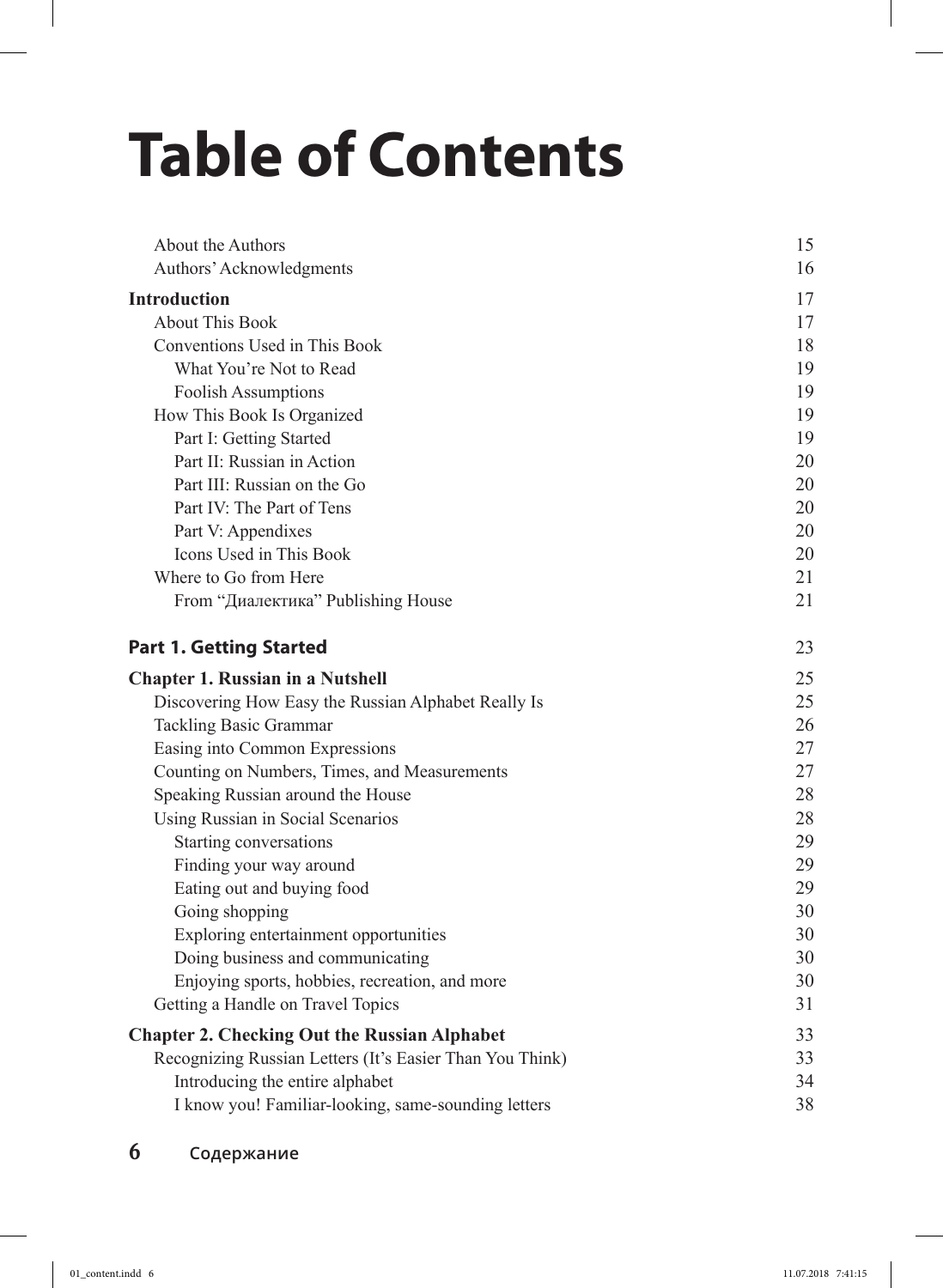## **Table of Contents**

| About the Authors                                        | 15 |
|----------------------------------------------------------|----|
| Authors' Acknowledgments                                 | 16 |
| <b>Introduction</b>                                      | 17 |
| <b>About This Book</b>                                   | 17 |
| Conventions Used in This Book                            | 18 |
| What You're Not to Read                                  | 19 |
| <b>Foolish Assumptions</b>                               | 19 |
| How This Book Is Organized                               | 19 |
| Part I: Getting Started                                  | 19 |
| Part II: Russian in Action                               | 20 |
| Part III: Russian on the Go                              | 20 |
| Part IV: The Part of Tens                                | 20 |
| Part V: Appendixes                                       | 20 |
| Icons Used in This Book                                  | 20 |
| Where to Go from Here                                    | 21 |
| From "Диалектика" Publishing House                       | 21 |
| <b>Part 1. Getting Started</b>                           | 23 |
| <b>Chapter 1. Russian in a Nutshell</b>                  | 25 |
| Discovering How Easy the Russian Alphabet Really Is      | 25 |
| Tackling Basic Grammar                                   | 26 |
| Easing into Common Expressions                           | 27 |
| Counting on Numbers, Times, and Measurements             | 27 |
| Speaking Russian around the House                        | 28 |
| Using Russian in Social Scenarios                        | 28 |
| Starting conversations                                   | 29 |
| Finding your way around                                  | 29 |
| Eating out and buying food                               | 29 |
| Going shopping                                           | 30 |
| Exploring entertainment opportunities                    | 30 |
| Doing business and communicating                         | 30 |
| Enjoying sports, hobbies, recreation, and more           | 30 |
| Getting a Handle on Travel Topics                        | 31 |
| <b>Chapter 2. Checking Out the Russian Alphabet</b>      | 33 |
| Recognizing Russian Letters (It's Easier Than You Think) | 33 |
| Introducing the entire alphabet                          | 34 |
| I know you! Familiar-looking, same-sounding letters      | 38 |
|                                                          |    |

**6 Содержание**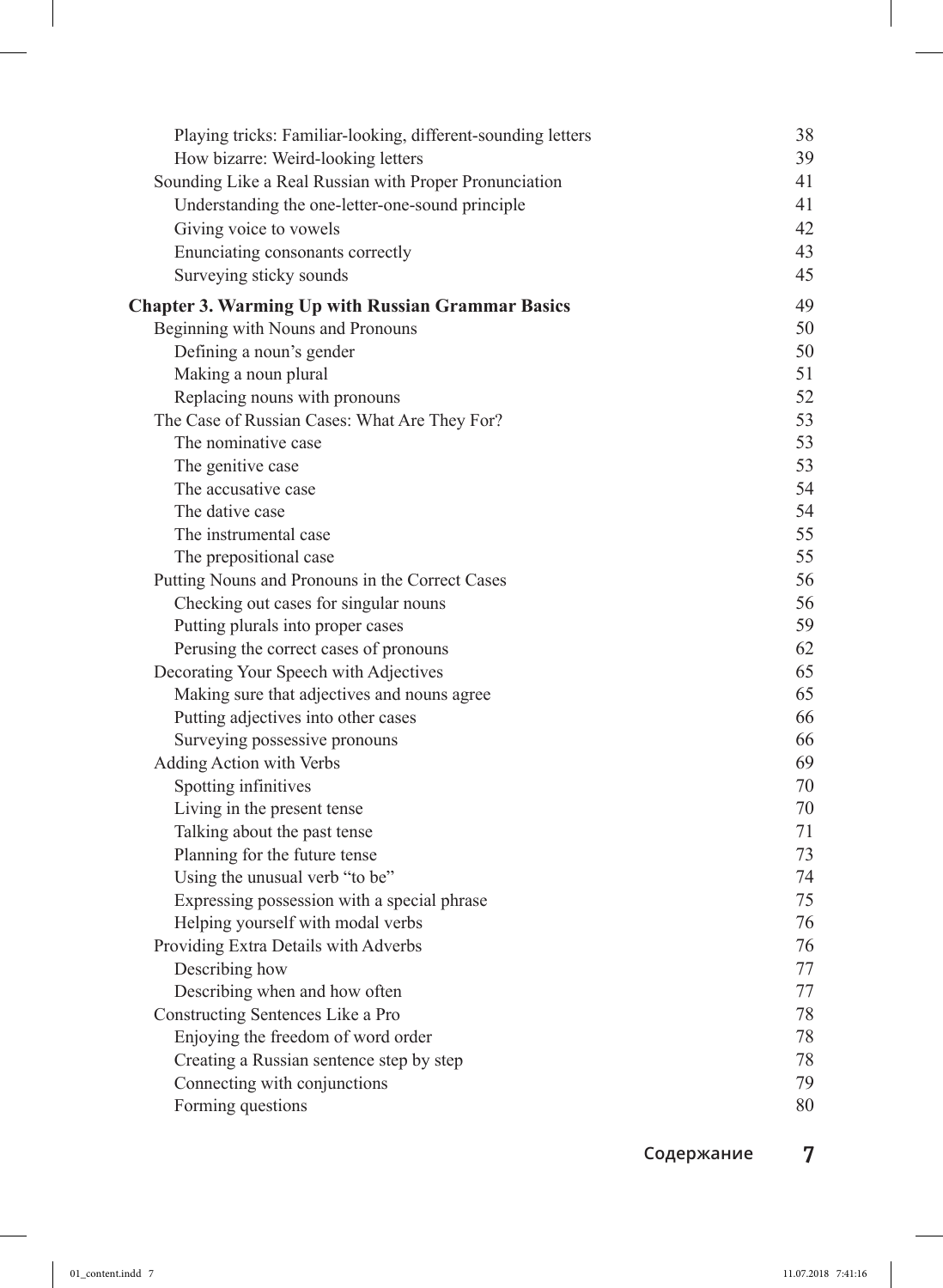| Playing tricks: Familiar-looking, different-sounding letters | 38       |
|--------------------------------------------------------------|----------|
| How bizarre: Weird-looking letters                           | 39       |
| Sounding Like a Real Russian with Proper Pronunciation       | 41       |
| Understanding the one-letter-one-sound principle             | 41       |
| Giving voice to vowels                                       | 42       |
| Enunciating consonants correctly                             | 43       |
| Surveying sticky sounds                                      | 45       |
| <b>Chapter 3. Warming Up with Russian Grammar Basics</b>     | 49       |
| Beginning with Nouns and Pronouns                            | 50       |
| Defining a noun's gender                                     | 50       |
| Making a noun plural                                         | 51       |
| Replacing nouns with pronouns                                | 52       |
| The Case of Russian Cases: What Are They For?                | 53       |
| The nominative case                                          | 53       |
| The genitive case                                            | 53       |
| The accusative case                                          | 54       |
| The dative case                                              | 54       |
| The instrumental case                                        | 55       |
| The prepositional case                                       | 55       |
| Putting Nouns and Pronouns in the Correct Cases              | 56       |
| Checking out cases for singular nouns                        | 56       |
| Putting plurals into proper cases                            | 59       |
| Perusing the correct cases of pronouns                       | 62       |
| Decorating Your Speech with Adjectives                       | 65       |
| Making sure that adjectives and nouns agree                  | 65       |
| Putting adjectives into other cases                          | 66       |
| Surveying possessive pronouns                                | 66       |
| Adding Action with Verbs                                     | 69       |
| Spotting infinitives                                         | 70       |
| Living in the present tense                                  | 70       |
| Talking about the past tense                                 | 71       |
| Planning for the future tense                                | 73       |
| Using the unusual verb "to be"                               | 74       |
| Expressing possession with a special phrase                  | 75       |
| Helping yourself with modal verbs                            | 76       |
| Providing Extra Details with Adverbs                         | 76       |
| Describing how                                               | 77       |
| Describing when and how often                                | 77       |
| Constructing Sentences Like a Pro                            | 78       |
| Enjoying the freedom of word order                           | 78       |
| Creating a Russian sentence step by step                     | 78       |
| Connecting with conjunctions<br>Forming questions            | 79<br>80 |
|                                                              |          |

 $\overline{\phantom{a}}$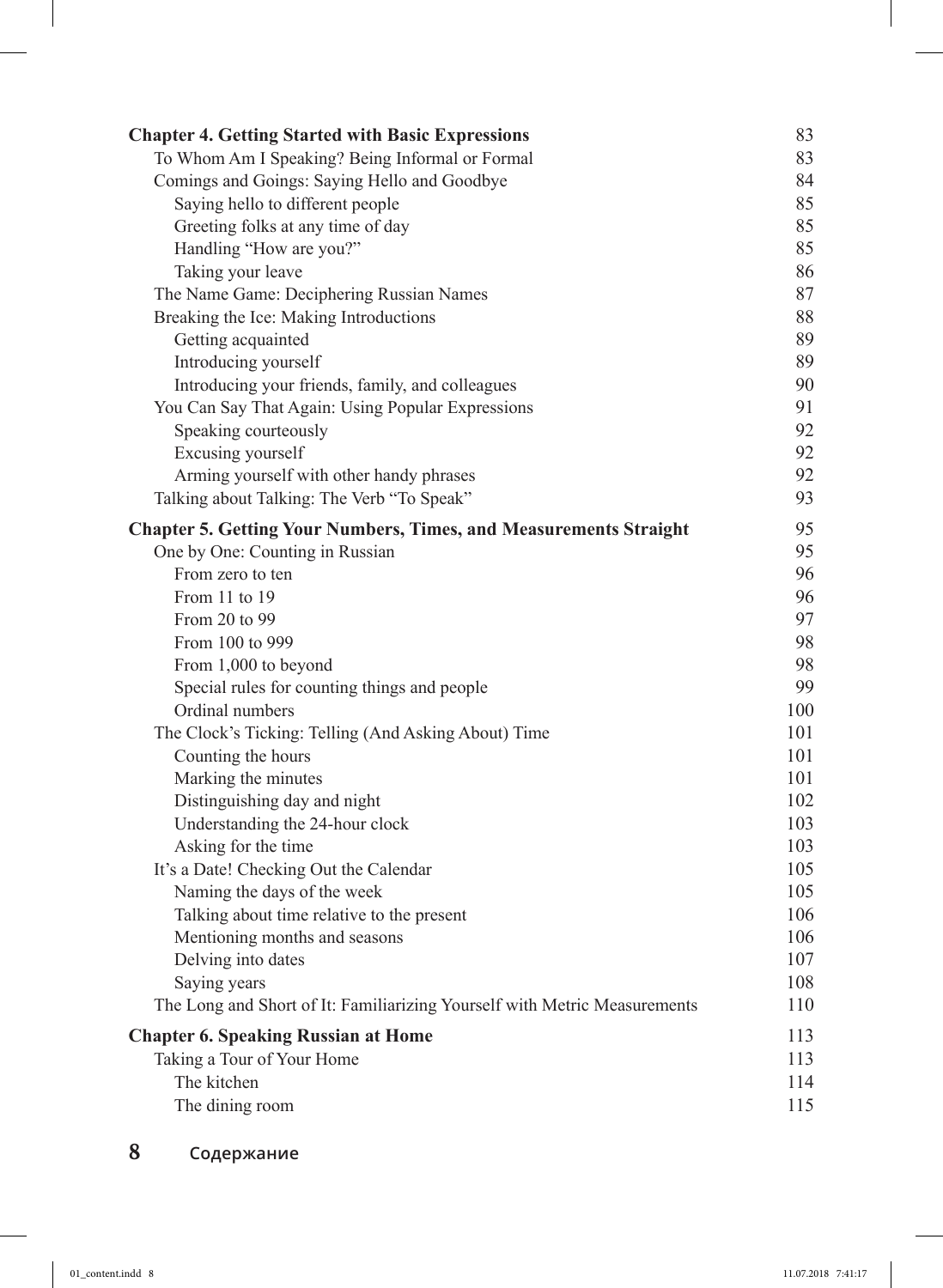| <b>Chapter 4. Getting Started with Basic Expressions</b>                  | 83  |
|---------------------------------------------------------------------------|-----|
| To Whom Am I Speaking? Being Informal or Formal                           | 83  |
| Comings and Goings: Saying Hello and Goodbye                              | 84  |
| Saying hello to different people                                          | 85  |
| Greeting folks at any time of day                                         | 85  |
| Handling "How are you?"                                                   | 85  |
| Taking your leave                                                         | 86  |
| The Name Game: Deciphering Russian Names                                  | 87  |
| Breaking the Ice: Making Introductions                                    | 88  |
| Getting acquainted                                                        | 89  |
| Introducing yourself                                                      | 89  |
| Introducing your friends, family, and colleagues                          | 90  |
| You Can Say That Again: Using Popular Expressions                         | 91  |
| Speaking courteously                                                      | 92  |
| Excusing yourself                                                         | 92  |
| Arming yourself with other handy phrases                                  | 92  |
| Talking about Talking: The Verb "To Speak"                                | 93  |
| <b>Chapter 5. Getting Your Numbers, Times, and Measurements Straight</b>  | 95  |
| One by One: Counting in Russian                                           | 95  |
| From zero to ten                                                          | 96  |
| From 11 to 19                                                             | 96  |
| From 20 to 99                                                             | 97  |
| From 100 to 999                                                           | 98  |
| From 1,000 to beyond                                                      | 98  |
| Special rules for counting things and people                              | 99  |
| Ordinal numbers                                                           | 100 |
| The Clock's Ticking: Telling (And Asking About) Time                      | 101 |
| Counting the hours                                                        | 101 |
| Marking the minutes                                                       | 101 |
| Distinguishing day and night                                              | 102 |
| Understanding the 24-hour clock                                           | 103 |
| Asking for the time                                                       | 103 |
| It's a Date! Checking Out the Calendar                                    | 105 |
| Naming the days of the week                                               | 105 |
| Talking about time relative to the present                                | 106 |
| Mentioning months and seasons                                             | 106 |
| Delving into dates                                                        | 107 |
| Saying years                                                              | 108 |
| The Long and Short of It: Familiarizing Yourself with Metric Measurements | 110 |
| <b>Chapter 6. Speaking Russian at Home</b>                                | 113 |
| Taking a Tour of Your Home                                                | 113 |
| The kitchen                                                               | 114 |
| The dining room                                                           | 115 |
|                                                                           |     |

 $\overline{\phantom{a}}$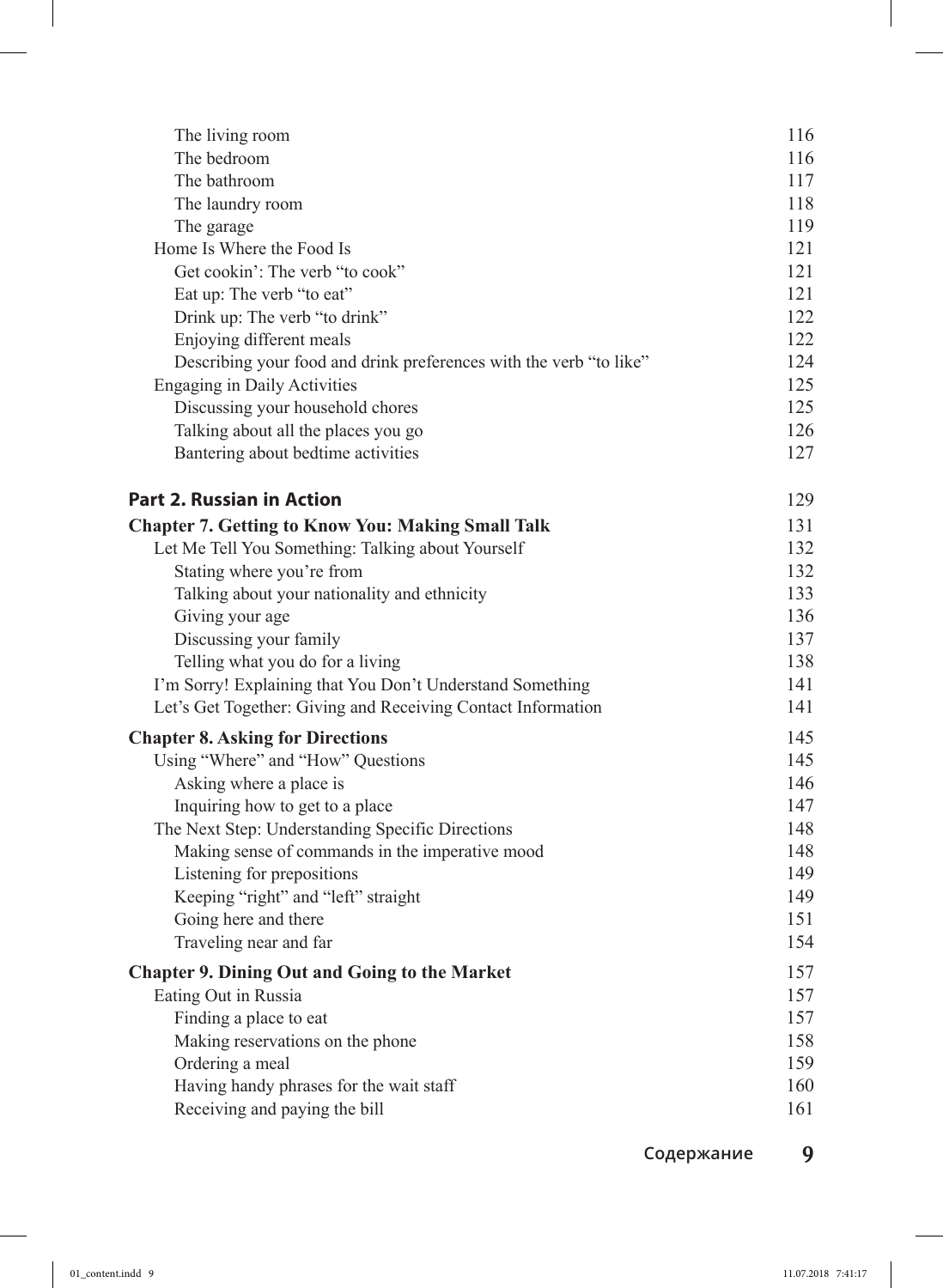| The living room                                                    | 116 |
|--------------------------------------------------------------------|-----|
| The bedroom                                                        | 116 |
| The bathroom                                                       | 117 |
| The laundry room                                                   | 118 |
| The garage                                                         | 119 |
| Home Is Where the Food Is                                          | 121 |
| Get cookin': The verb "to cook"                                    | 121 |
| Eat up: The verb "to eat"                                          | 121 |
| Drink up: The verb "to drink"                                      | 122 |
| Enjoying different meals                                           | 122 |
| Describing your food and drink preferences with the verb "to like" | 124 |
| <b>Engaging in Daily Activities</b>                                | 125 |
| Discussing your household chores                                   | 125 |
| Talking about all the places you go                                | 126 |
| Bantering about bedtime activities                                 | 127 |
| <b>Part 2. Russian in Action</b>                                   | 129 |
| <b>Chapter 7. Getting to Know You: Making Small Talk</b>           | 131 |
| Let Me Tell You Something: Talking about Yourself                  | 132 |
| Stating where you're from                                          | 132 |
| Talking about your nationality and ethnicity                       | 133 |
| Giving your age                                                    | 136 |
| Discussing your family                                             | 137 |
| Telling what you do for a living                                   | 138 |
| I'm Sorry! Explaining that You Don't Understand Something          | 141 |
| Let's Get Together: Giving and Receiving Contact Information       | 141 |
| <b>Chapter 8. Asking for Directions</b>                            | 145 |
| Using "Where" and "How" Questions                                  | 145 |
| Asking where a place is                                            | 146 |
| Inquiring how to get to a place                                    | 147 |
| The Next Step: Understanding Specific Directions                   | 148 |
| Making sense of commands in the imperative mood                    | 148 |
| Listening for prepositions                                         | 149 |
| Keeping "right" and "left" straight                                | 149 |
| Going here and there                                               | 151 |
| Traveling near and far                                             | 154 |
| <b>Chapter 9. Dining Out and Going to the Market</b>               | 157 |
| Eating Out in Russia                                               | 157 |
| Finding a place to eat                                             | 157 |
| Making reservations on the phone                                   | 158 |
| Ordering a meal                                                    | 159 |
| Having handy phrases for the wait staff                            | 160 |
| Receiving and paying the bill                                      | 161 |
|                                                                    |     |

 $\overline{\phantom{a}}$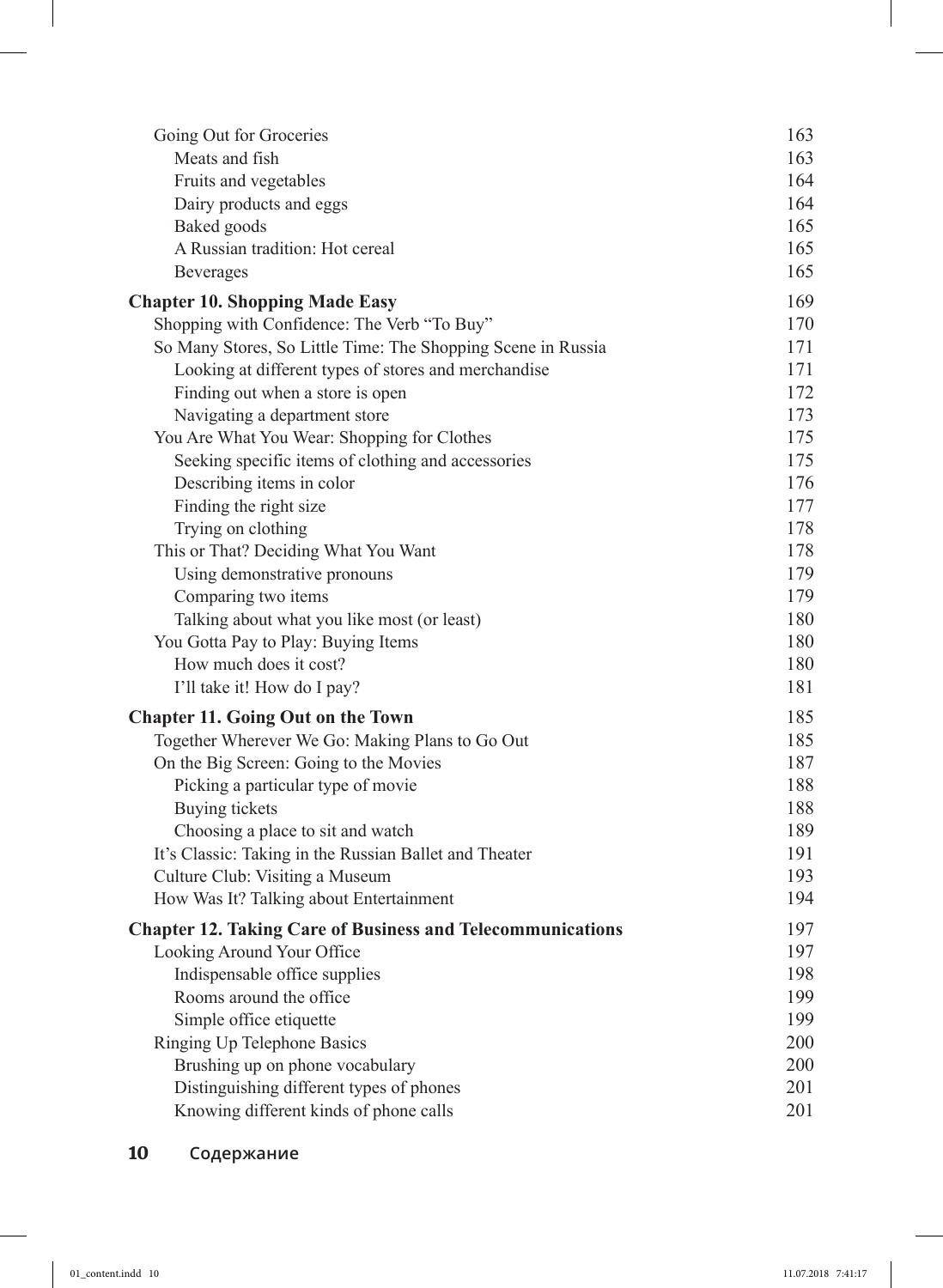| Going Out for Groceries                                           | 163 |
|-------------------------------------------------------------------|-----|
| Meats and fish                                                    | 163 |
| Fruits and vegetables                                             | 164 |
| Dairy products and eggs                                           | 164 |
| Baked goods                                                       | 165 |
| A Russian tradition: Hot cereal                                   | 165 |
| Beverages                                                         | 165 |
| <b>Chapter 10. Shopping Made Easy</b>                             | 169 |
| Shopping with Confidence: The Verb "To Buy"                       | 170 |
| So Many Stores, So Little Time: The Shopping Scene in Russia      | 171 |
| Looking at different types of stores and merchandise              | 171 |
| Finding out when a store is open                                  | 172 |
| Navigating a department store                                     | 173 |
| You Are What You Wear: Shopping for Clothes                       | 175 |
| Seeking specific items of clothing and accessories                | 175 |
| Describing items in color                                         | 176 |
| Finding the right size                                            | 177 |
| Trying on clothing                                                | 178 |
| This or That? Deciding What You Want                              | 178 |
| Using demonstrative pronouns                                      | 179 |
| Comparing two items                                               | 179 |
| Talking about what you like most (or least)                       | 180 |
| You Gotta Pay to Play: Buying Items                               | 180 |
| How much does it cost?                                            | 180 |
| I'll take it! How do I pay?                                       | 181 |
| <b>Chapter 11. Going Out on the Town</b>                          | 185 |
| Together Wherever We Go: Making Plans to Go Out                   | 185 |
| On the Big Screen: Going to the Movies                            | 187 |
| Picking a particular type of movie                                | 188 |
| Buying tickets                                                    | 188 |
| Choosing a place to sit and watch                                 | 189 |
| It's Classic: Taking in the Russian Ballet and Theater            | 191 |
| Culture Club: Visiting a Museum                                   | 193 |
| How Was It? Talking about Entertainment                           | 194 |
| <b>Chapter 12. Taking Care of Business and Telecommunications</b> | 197 |
| Looking Around Your Office                                        | 197 |
| Indispensable office supplies                                     | 198 |
| Rooms around the office                                           | 199 |
| Simple office etiquette                                           | 199 |
| Ringing Up Telephone Basics                                       | 200 |
| Brushing up on phone vocabulary                                   | 200 |
| Distinguishing different types of phones                          | 201 |
| Knowing different kinds of phone calls                            | 201 |

 $\overline{\phantom{a}}$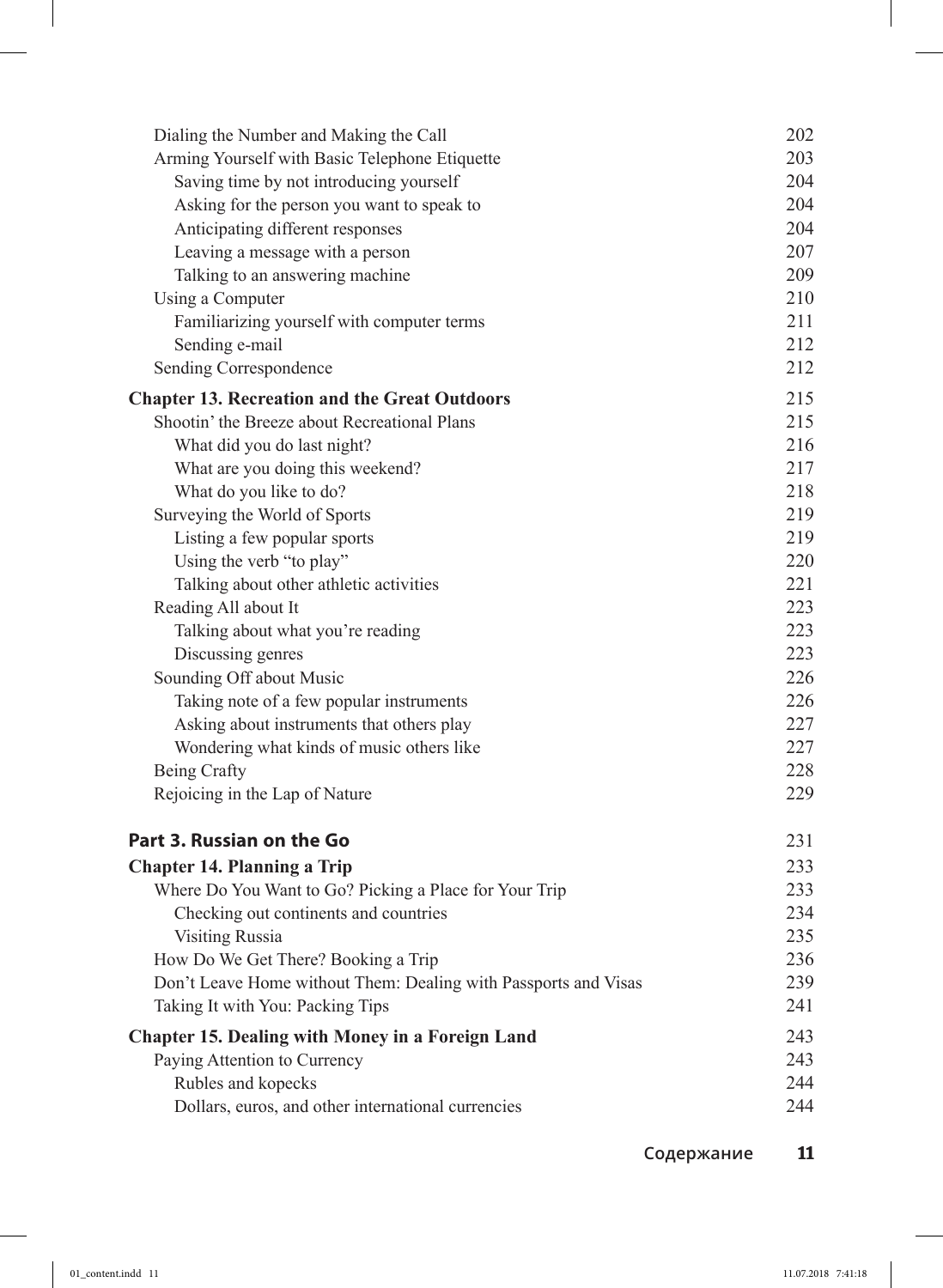| Dialing the Number and Making the Call                          | 202 |
|-----------------------------------------------------------------|-----|
| Arming Yourself with Basic Telephone Etiquette                  | 203 |
| Saving time by not introducing yourself                         | 204 |
| Asking for the person you want to speak to                      | 204 |
| Anticipating different responses                                | 204 |
| Leaving a message with a person                                 | 207 |
| Talking to an answering machine                                 | 209 |
| Using a Computer                                                | 210 |
| Familiarizing yourself with computer terms                      | 211 |
| Sending e-mail                                                  | 212 |
| Sending Correspondence                                          | 212 |
| <b>Chapter 13. Recreation and the Great Outdoors</b>            | 215 |
| Shootin' the Breeze about Recreational Plans                    | 215 |
| What did you do last night?                                     | 216 |
| What are you doing this weekend?                                | 217 |
| What do you like to do?                                         | 218 |
| Surveying the World of Sports                                   | 219 |
| Listing a few popular sports                                    | 219 |
| Using the verb "to play"                                        | 220 |
| Talking about other athletic activities                         | 221 |
| Reading All about It                                            | 223 |
| Talking about what you're reading                               | 223 |
| Discussing genres                                               | 223 |
| Sounding Off about Music                                        | 226 |
| Taking note of a few popular instruments                        | 226 |
| Asking about instruments that others play                       | 227 |
| Wondering what kinds of music others like                       | 227 |
| Being Crafty                                                    | 228 |
| Rejoicing in the Lap of Nature                                  | 229 |
| Part 3. Russian on the Go                                       | 231 |
| <b>Chapter 14. Planning a Trip</b>                              | 233 |
| Where Do You Want to Go? Picking a Place for Your Trip          | 233 |
| Checking out continents and countries                           | 234 |
| <b>Visiting Russia</b>                                          | 235 |
| How Do We Get There? Booking a Trip                             | 236 |
| Don't Leave Home without Them: Dealing with Passports and Visas | 239 |
| Taking It with You: Packing Tips                                | 241 |
| <b>Chapter 15. Dealing with Money in a Foreign Land</b>         | 243 |
| Paying Attention to Currency                                    | 243 |
| Rubles and kopecks                                              | 244 |
| Dollars, euros, and other international currencies              | 244 |
|                                                                 |     |

 $\overline{\phantom{a}}$ 

 $\overline{\phantom{a}}$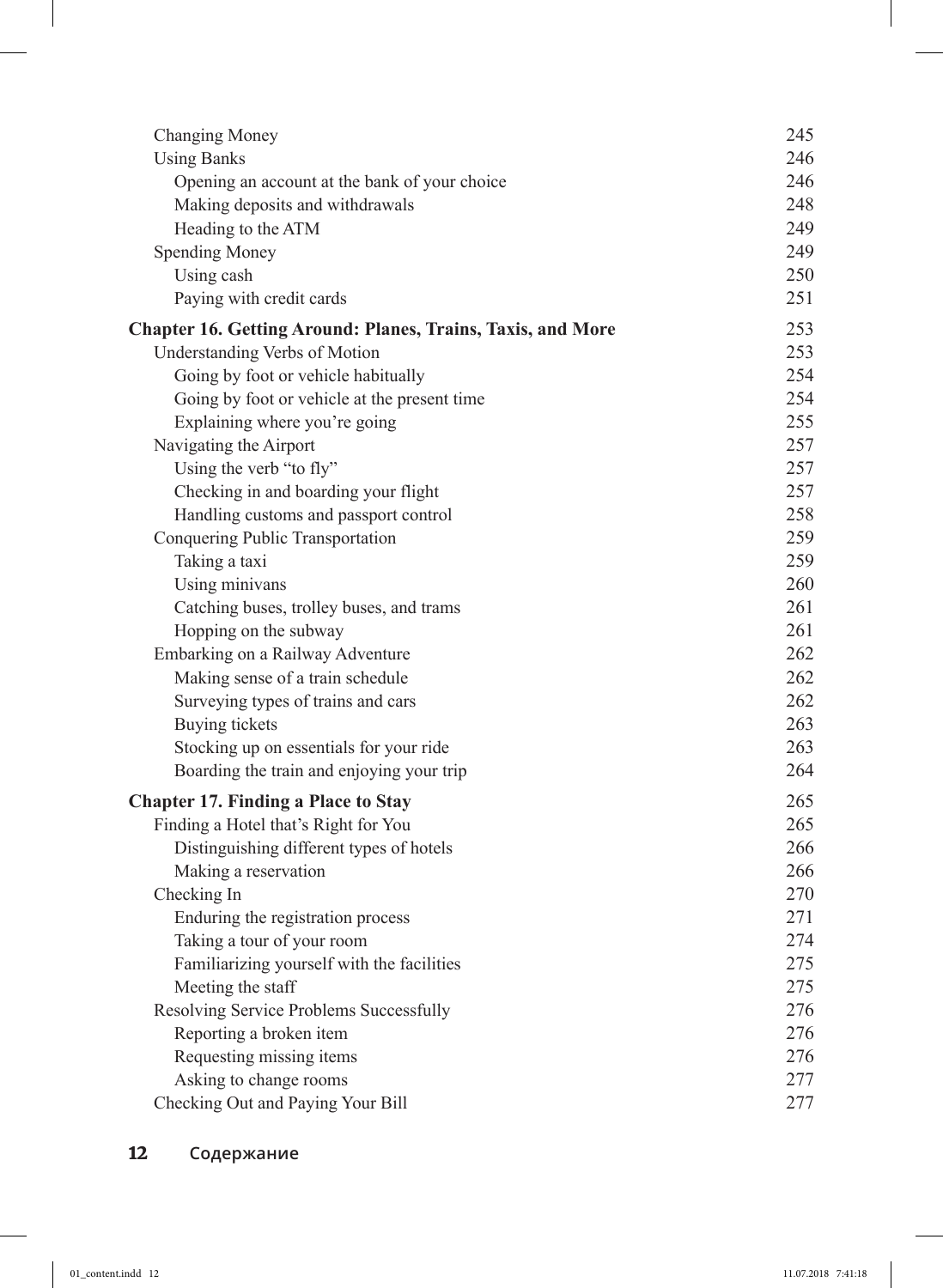| Changing Money                                                     | 245 |
|--------------------------------------------------------------------|-----|
| <b>Using Banks</b>                                                 | 246 |
| Opening an account at the bank of your choice                      | 246 |
| Making deposits and withdrawals                                    | 248 |
| Heading to the ATM                                                 | 249 |
| <b>Spending Money</b>                                              | 249 |
| Using cash                                                         | 250 |
| Paying with credit cards                                           | 251 |
| <b>Chapter 16. Getting Around: Planes, Trains, Taxis, and More</b> | 253 |
| Understanding Verbs of Motion                                      | 253 |
| Going by foot or vehicle habitually                                | 254 |
| Going by foot or vehicle at the present time                       | 254 |
| Explaining where you're going                                      | 255 |
| Navigating the Airport                                             | 257 |
| Using the verb "to fly"                                            | 257 |
| Checking in and boarding your flight                               | 257 |
| Handling customs and passport control                              | 258 |
| Conquering Public Transportation                                   | 259 |
| Taking a taxi                                                      | 259 |
| Using minivans                                                     | 260 |
| Catching buses, trolley buses, and trams                           | 261 |
| Hopping on the subway                                              | 261 |
| Embarking on a Railway Adventure                                   | 262 |
| Making sense of a train schedule                                   | 262 |
| Surveying types of trains and cars                                 | 262 |
| Buying tickets                                                     | 263 |
| Stocking up on essentials for your ride                            | 263 |
| Boarding the train and enjoying your trip                          | 264 |
| <b>Chapter 17. Finding a Place to Stay</b>                         | 265 |
| Finding a Hotel that's Right for You                               | 265 |
| Distinguishing different types of hotels                           | 266 |
| Making a reservation                                               | 266 |
| Checking In                                                        | 270 |
| Enduring the registration process                                  | 271 |
| Taking a tour of your room                                         | 274 |
| Familiarizing yourself with the facilities                         | 275 |
| Meeting the staff                                                  | 275 |
| Resolving Service Problems Successfully                            | 276 |
| Reporting a broken item                                            | 276 |
| Requesting missing items                                           | 276 |
| Asking to change rooms                                             | 277 |
| Checking Out and Paying Your Bill                                  | 277 |

 $\overline{\phantom{a}}$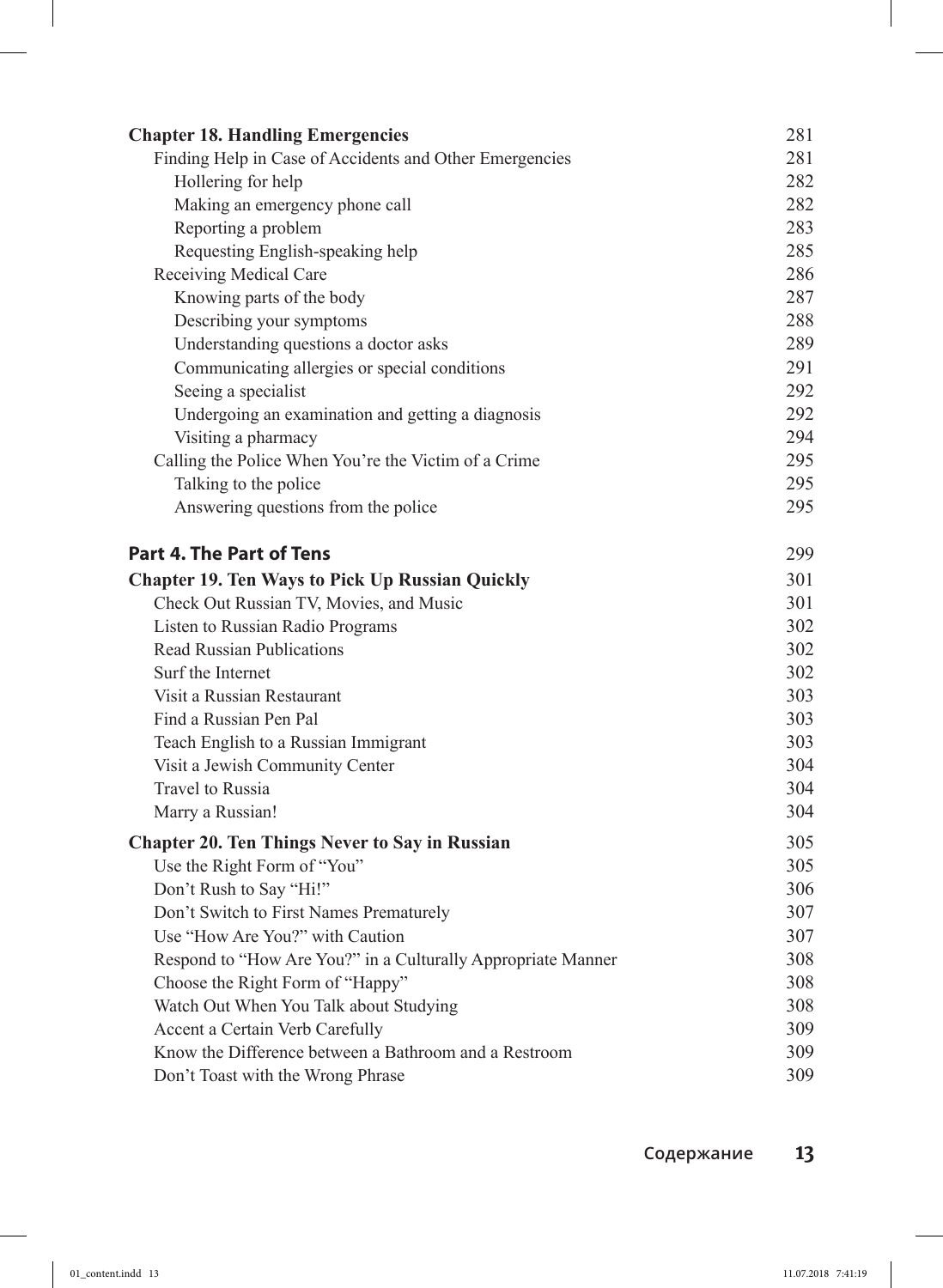| <b>Chapter 18. Handling Emergencies</b>                      | 281 |
|--------------------------------------------------------------|-----|
| Finding Help in Case of Accidents and Other Emergencies      | 281 |
| Hollering for help                                           | 282 |
| Making an emergency phone call                               | 282 |
| Reporting a problem                                          | 283 |
| Requesting English-speaking help                             | 285 |
| Receiving Medical Care                                       | 286 |
| Knowing parts of the body                                    | 287 |
| Describing your symptoms                                     | 288 |
| Understanding questions a doctor asks                        | 289 |
| Communicating allergies or special conditions                | 291 |
| Seeing a specialist                                          | 292 |
| Undergoing an examination and getting a diagnosis            | 292 |
| Visiting a pharmacy                                          | 294 |
| Calling the Police When You're the Victim of a Crime         | 295 |
| Talking to the police                                        | 295 |
| Answering questions from the police                          | 295 |
| <b>Part 4. The Part of Tens</b>                              | 299 |
| <b>Chapter 19. Ten Ways to Pick Up Russian Quickly</b>       | 301 |
| Check Out Russian TV, Movies, and Music                      | 301 |
| Listen to Russian Radio Programs                             | 302 |
| <b>Read Russian Publications</b>                             | 302 |
| Surf the Internet                                            | 302 |
| Visit a Russian Restaurant                                   | 303 |
| Find a Russian Pen Pal                                       | 303 |
| Teach English to a Russian Immigrant                         | 303 |
| Visit a Jewish Community Center                              | 304 |
| Travel to Russia                                             | 304 |
| Marry a Russian!                                             | 304 |
| <b>Chapter 20. Ten Things Never to Say in Russian</b>        | 305 |
| Use the Right Form of "You"                                  | 305 |
| Don't Rush to Say "Hi!"                                      | 306 |
| Don't Switch to First Names Prematurely                      | 307 |
| Use "How Are You?" with Caution                              | 307 |
| Respond to "How Are You?" in a Culturally Appropriate Manner | 308 |
| Choose the Right Form of "Happy"                             | 308 |
| Watch Out When You Talk about Studying                       | 308 |
| Accent a Certain Verb Carefully                              | 309 |
| Know the Difference between a Bathroom and a Restroom        | 309 |
| Don't Toast with the Wrong Phrase                            | 309 |
|                                                              |     |

 $\overline{\phantom{a}}$ 

 $\overline{\phantom{a}}$